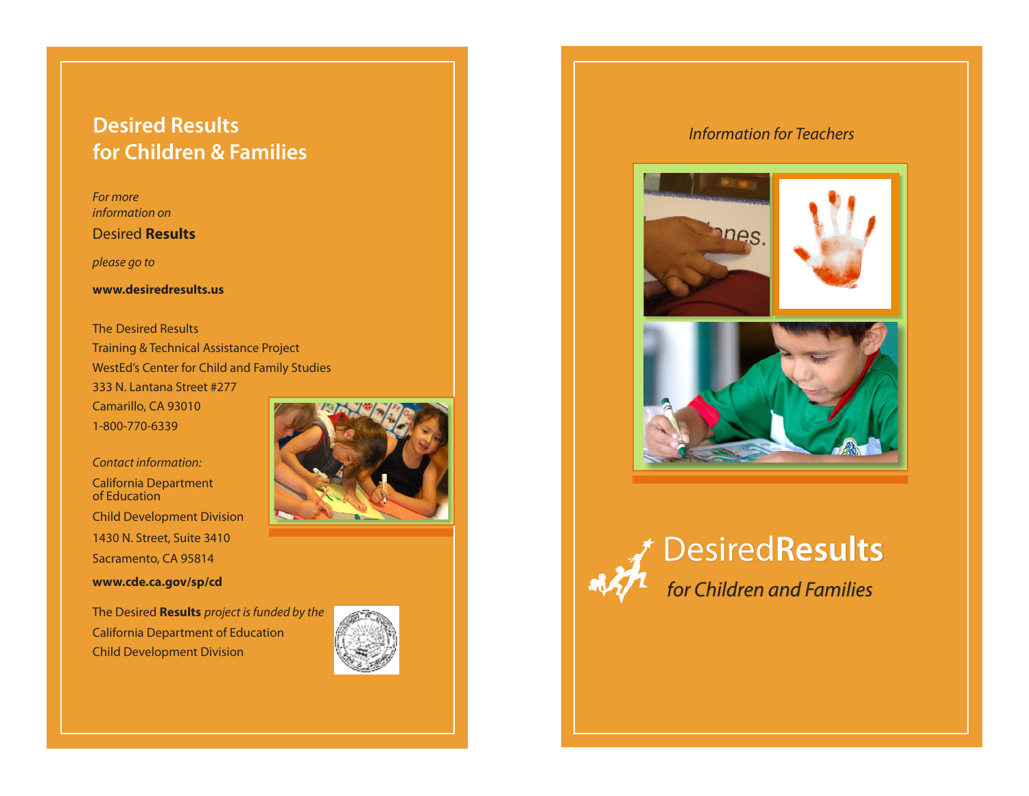## **Desired Results** *Information for Teachers* **for Children & Families**

*For more information on*

Desired **Results** 

*please go to*

**www.desiredresults.us**

The Desired Results Training & Technical Assistance Project WestEd's Center for Child and Family Studies 333 N. Lantana Street #277 Camarillo, CA 93010 1-800-770-6339

*Contact information:* California Department of Education Child Development Division 1430 N. Street, Suite 3410 Sacramento, CA 95814 **www.cde.ca.gov/sp/cd**

The Desired **Results** *project is funded by the* California Department of Education Child Development Division